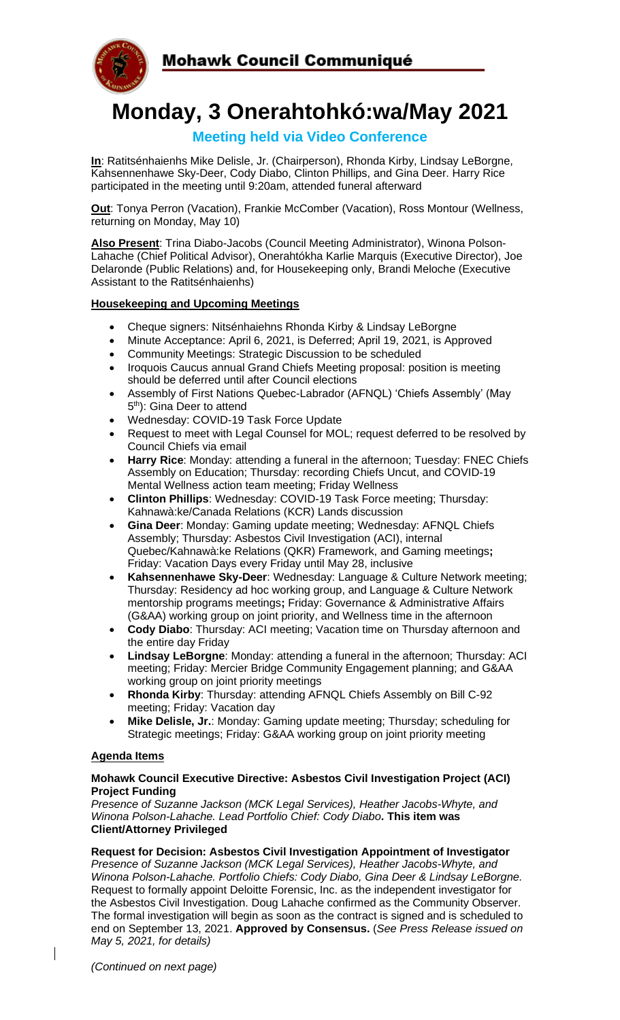

# **Monday, 3 Onerahtohkó:wa/May 2021**

## **Meeting held via Video Conference**

**In**: Ratitsénhaienhs Mike Delisle, Jr. (Chairperson), Rhonda Kirby, Lindsay LeBorgne, Kahsennenhawe Sky-Deer, Cody Diabo, Clinton Phillips, and Gina Deer. Harry Rice participated in the meeting until 9:20am, attended funeral afterward

**Out**: Tonya Perron (Vacation), Frankie McComber (Vacation), Ross Montour (Wellness, returning on Monday, May 10)

**Also Present**: Trina Diabo-Jacobs (Council Meeting Administrator), Winona Polson-Lahache (Chief Political Advisor), Onerahtókha Karlie Marquis (Executive Director), Joe Delaronde (Public Relations) and, for Housekeeping only, Brandi Meloche (Executive Assistant to the Ratitsénhaienhs)

## **Housekeeping and Upcoming Meetings**

- Cheque signers: Nitsénhaiehns Rhonda Kirby & Lindsay LeBorgne
- Minute Acceptance: April 6, 2021, is Deferred; April 19, 2021, is Approved
- Community Meetings: Strategic Discussion to be scheduled
- Iroquois Caucus annual Grand Chiefs Meeting proposal: position is meeting should be deferred until after Council elections
- Assembly of First Nations Quebec-Labrador (AFNQL) 'Chiefs Assembly' (May 5<sup>th</sup>): Gina Deer to attend
- Wednesday: COVID-19 Task Force Update
- Request to meet with Legal Counsel for MOL; request deferred to be resolved by Council Chiefs via email
- **Harry Rice**: Monday: attending a funeral in the afternoon; Tuesday: FNEC Chiefs Assembly on Education; Thursday: recording Chiefs Uncut, and COVID-19 Mental Wellness action team meeting; Friday Wellness
- **Clinton Phillips**: Wednesday: COVID-19 Task Force meeting; Thursday: Kahnawà:ke/Canada Relations (KCR) Lands discussion
- **Gina Deer**: Monday: Gaming update meeting; Wednesday: AFNQL Chiefs Assembly; Thursday: Asbestos Civil Investigation (ACI), internal Quebec/Kahnawà:ke Relations (QKR) Framework, and Gaming meetings**;** Friday: Vacation Days every Friday until May 28, inclusive
- **Kahsennenhawe Sky-Deer**: Wednesday: Language & Culture Network meeting; Thursday: Residency ad hoc working group, and Language & Culture Network mentorship programs meetings**;** Friday: Governance & Administrative Affairs (G&AA) working group on joint priority, and Wellness time in the afternoon
- **Cody Diabo**: Thursday: ACI meeting; Vacation time on Thursday afternoon and the entire day Friday
- **Lindsay LeBorgne**: Monday: attending a funeral in the afternoon; Thursday: ACI meeting; Friday: Mercier Bridge Community Engagement planning; and G&AA working group on joint priority meetings
- **Rhonda Kirby**: Thursday: attending AFNQL Chiefs Assembly on Bill C-92 meeting; Friday: Vacation day
- **Mike Delisle, Jr.**: Monday: Gaming update meeting; Thursday; scheduling for Strategic meetings; Friday: G&AA working group on joint priority meeting

#### **Agenda Items**

#### **Mohawk Council Executive Directive: Asbestos Civil Investigation Project (ACI) Project Funding**

*Presence of Suzanne Jackson (MCK Legal Services), Heather Jacobs-Whyte, and Winona Polson-Lahache. Lead Portfolio Chief: Cody Diabo***. This item was Client/Attorney Privileged**

# **Request for Decision: Asbestos Civil Investigation Appointment of Investigator**

*Presence of Suzanne Jackson (MCK Legal Services), Heather Jacobs-Whyte, and Winona Polson-Lahache. Portfolio Chiefs: Cody Diabo, Gina Deer & Lindsay LeBorgne.* Request to formally appoint Deloitte Forensic, Inc. as the independent investigator for the Asbestos Civil Investigation. Doug Lahache confirmed as the Community Observer. The formal investigation will begin as soon as the contract is signed and is scheduled to end on September 13, 2021. **Approved by Consensus.** (*See Press Release issued on May 5, 2021, for details)*

 $\overline{\phantom{a}}$